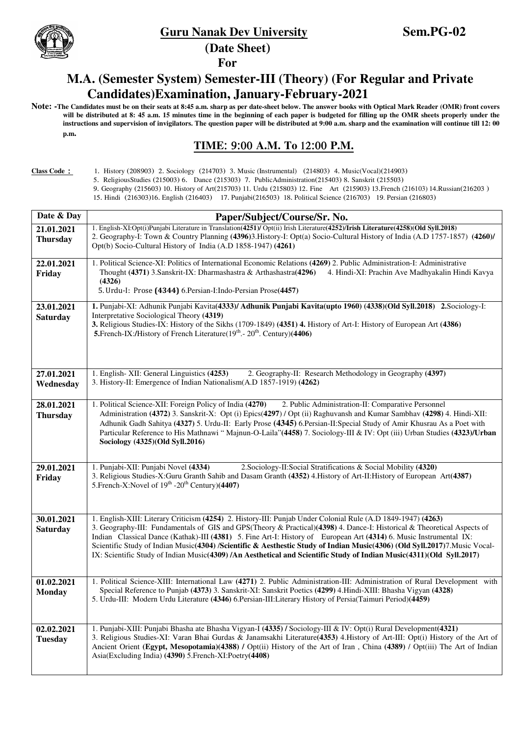**(Date Sheet)** 



## **For**

## **M.A. (Semester System) Semester-III (Theory) (For Regular and Private Candidates)Examination, January-February-2021**

**Note: -The Candidates must be on their seats at 8:45 a.m. sharp as per date-sheet below. The answer books with Optical Mark Reader (OMR) front covers will be distributed at 8: 45 a.m. 15 minutes time in the beginning of each paper is budgeted for filling up the OMR sheets properly under the instructions and supervision of invigilators. The question paper will be distributed at 9:00 a.m. sharp and the examination will continue till 12: 00 p.m.** 

## **TIME: 9:00 A.M. To 12:00 P.M.**

**Class Code***L* 1. History (208903) 2. Sociology (214703) 3. Music (Instrumental) (214803) 4. Music(Vocal)(214903)

5. ReligiousStudies (215003) 6. Dance (215303) 7. PublicAdministration(215403) 8. Sanskrit (215503)

9. Geography (215603) 10. History of Art(215703) 11. Urdu (215803) 12. Fine Art (215903) 13.French (216103) 14.Russian(216203 )

15. Hindi (216303)16. English (216403) 17. Punjabi(216503) 18. Political Science (216703) 19. Persian (216803)

| Date & Day                    | Paper/Subject/Course/Sr. No.                                                                                                                                                                                                                                                                                                                                                                                                                                                                                                                                                                                        |
|-------------------------------|---------------------------------------------------------------------------------------------------------------------------------------------------------------------------------------------------------------------------------------------------------------------------------------------------------------------------------------------------------------------------------------------------------------------------------------------------------------------------------------------------------------------------------------------------------------------------------------------------------------------|
| 21.01.2021<br><b>Thursday</b> | 1. English-XI:Opt(i)Punjabi Literature in Translation(4251)/ Opt(ii) Irish Literature(4252)/Irish Literature(4258)(Old Syll.2018)<br>2. Geography-I: Town & Country Planning (4396)3. History-I: Opt(a) Socio-Cultural History of India (A.D 1757-1857) (4260)/<br>Opt(b) Socio-Cultural History of India (A.D 1858-1947) (4261)                                                                                                                                                                                                                                                                                    |
| 22.01.2021<br>Friday          | 1. Political Science-XI: Politics of International Economic Relations (4269) 2. Public Administration-I: Administrative<br>Thought (4371) 3. Sanskrit-IX: Dharmashastra & Arthashastra(4296)<br>4. Hindi-XI: Prachin Ave Madhyakalin Hindi Kavya<br>(4326)<br>5. Urdu-I: Prose (4344) 6. Persian-I: Indo-Persian Prose (4457)                                                                                                                                                                                                                                                                                       |
| 23.01.2021<br><b>Saturday</b> | 1. Punjabi-XI: Adhunik Punjabi Kavita(4333)/ Adhunik Punjabi Kavita(upto 1960) (4338)(Old Syll.2018) 2.Sociology-I:<br>Interpretative Sociological Theory (4319)<br>3. Religious Studies-IX: History of the Sikhs (1709-1849) (4351) 4. History of Art-I: History of European Art (4386)<br><b>5.</b> French-IX:/History of French Literature( $19th$ . $20th$ . Century)(4406)                                                                                                                                                                                                                                     |
| 27.01.2021<br>Wednesday       | 1. English- XII: General Linguistics (4253)<br>2. Geography-II: Research Methodology in Geography (4397)<br>3. History-II: Emergence of Indian Nationalism(A.D 1857-1919) (4262)                                                                                                                                                                                                                                                                                                                                                                                                                                    |
| 28.01.2021<br><b>Thursday</b> | 1. Political Science-XII: Foreign Policy of India (4270)<br>2. Public Administration-II: Comparative Personnel<br>Administration (4372) 3. Sanskrit-X: Opt (i) Epics(4297) / Opt (ii) Raghuvansh and Kumar Sambhav (4298) 4. Hindi-XII:<br>Adhunik Gadh Sahitya (4327) 5. Urdu-II: Early Prose (4345) 6.Persian-II:Special Study of Amir Khusrau As a Poet with<br>Particular Reference to His Mathnawi "Majnun-O-Laila"(4458) 7. Sociology-III & IV: Opt (iii) Urban Studies (4323)/Urban<br>Sociology (4325)(Old Syll.2016)                                                                                       |
| 29.01.2021<br>Friday          | 1. Punjabi-XII: Punjabi Novel (4334)<br>2. Sociology-II: Social Stratifications & Social Mobility (4320)<br>3. Religious Studies-X:Guru Granth Sahib and Dasam Granth (4352) 4. History of Art-II: History of European Art(4387)<br>5. French-X: Novel of $19th$ -20 <sup>th</sup> Century)(4407)                                                                                                                                                                                                                                                                                                                   |
| 30.01.2021<br><b>Saturday</b> | 1. English-XIII: Literary Criticism (4254) 2. History-III: Punjab Under Colonial Rule (A.D 1849-1947) (4263)<br>3. Geography-III: Fundamentals of GIS and GPS(Theory & Practical)(4398) 4. Dance-I: Historical & Theoretical Aspects of<br>Indian Classical Dance (Kathak)-III (4381) 5. Fine Art-I: History of European Art (4314) 6. Music Instrumental IX:<br>Scientific Study of Indian Music(4304) /Scientific & Aesthestic Study of Indian Music(4306) (Old Syll.2017)7. Music Vocal-<br>IX: Scientific Study of Indian Music(4309) /An Aesthetical and Scientific Study of Indian Music(4311)(Old Syll.2017) |
| 01.02.2021<br><b>Monday</b>   | 1. Political Science-XIII: International Law (4271) 2. Public Administration-III: Administration of Rural Development with<br>Special Reference to Punjab (4373) 3. Sanskrit-XI: Sanskrit Poetics (4299) 4. Hindi-XIII: Bhasha Vigyan (4328)<br>5. Urdu-III: Modern Urdu Literature (4346) 6. Persian-III: Literary History of Persia (Taimuri Period) (4459)                                                                                                                                                                                                                                                       |
| 02.02.2021<br><b>Tuesday</b>  | 1. Punjabi-XIII: Punjabi Bhasha ate Bhasha Vigyan-I (4335) / Sociology-III & IV: Opt(i) Rural Development(4321)<br>3. Religious Studies-XI: Varan Bhai Gurdas & Janamsakhi Literature(4353) 4. History of Art-III: Opt(i) History of the Art of<br>Ancient Orient (Egypt, Mesopotamia)(4388) / Opt(ii) History of the Art of Iran, China (4389) / Opt(iii) The Art of Indian<br>Asia(Excluding India) (4390) 5. French-XI: Poetry (4408)                                                                                                                                                                            |